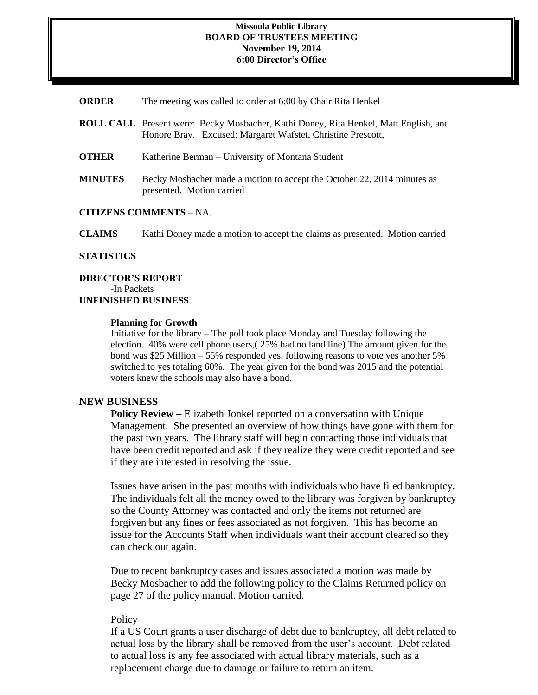#### **Missoula Public Library BOARD OF TRUSTEES MEETING November 19, 2014 6:00 Director's Office**

| <b>ORDER</b> | The meeting was called to order at 6:00 by Chair Rita Henkel |  |  |  |
|--------------|--------------------------------------------------------------|--|--|--|
|--------------|--------------------------------------------------------------|--|--|--|

**ROLL CALL** Present were: Becky Mosbacher, Kathi Doney, Rita Henkel, Matt English, and Honore Bray. Excused: Margaret Wafstet, Christine Prescott, **OTHER** Katherine Berman – University of Montana Student **MINUTES** Becky Mosbacher made a motion to accept the October 22, 2014 minutes as presented. Motion carried

# **CITIZENS COMMENTS** – NA.

**CLAIMS** Kathi Doney made a motion to accept the claims as presented. Motion carried

### **STATISTICS**

**DIRECTOR'S REPORT** -In Packets **UNFINISHED BUSINESS**

### **Planning for Growth**

Initiative for the library – The poll took place Monday and Tuesday following the election. 40% were cell phone users,( 25% had no land line) The amount given for the bond was \$25 Million – 55% responded yes, following reasons to vote yes another 5% switched to yes totaling 60%. The year given for the bond was 2015 and the potential voters knew the schools may also have a bond.

## **NEW BUSINESS**

**Policy Review –** Elizabeth Jonkel reported on a conversation with Unique Management. She presented an overview of how things have gone with them for the past two years. The library staff will begin contacting those individuals that have been credit reported and ask if they realize they were credit reported and see if they are interested in resolving the issue.

Issues have arisen in the past months with individuals who have filed bankruptcy. The individuals felt all the money owed to the library was forgiven by bankruptcy so the County Attorney was contacted and only the items not returned are forgiven but any fines or fees associated as not forgiven. This has become an issue for the Accounts Staff when individuals want their account cleared so they can check out again.

Due to recent bankruptcy cases and issues associated a motion was made by Becky Mosbacher to add the following policy to the Claims Returned policy on page 27 of the policy manual. Motion carried.

## **Policy**

If a US Court grants a user discharge of debt due to bankruptcy, all debt related to actual loss by the library shall be removed from the user's account. Debt related to actual loss is any fee associated with actual library materials, such as a replacement charge due to damage or failure to return an item.